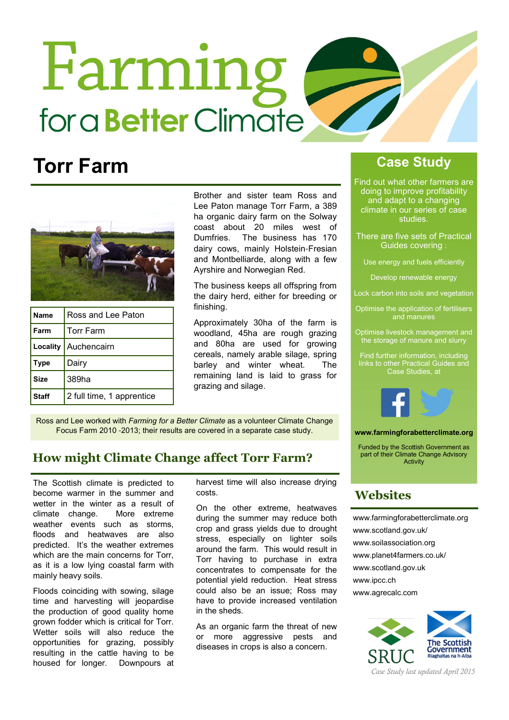# Farming for a **Better** Climate

# Torr Farm



| Name         | Ross and Lee Paton        |
|--------------|---------------------------|
| Farm         | <b>Torr Farm</b>          |
|              | Locality   Auchencairn    |
| <b>Type</b>  | Dairy                     |
| <b>Size</b>  | 389ha                     |
| <b>Staff</b> | 2 full time, 1 apprentice |

Brother and sister team Ross and Lee Paton manage Torr Farm, a 389 ha organic dairy farm on the Solway coast about 20 miles west of Dumfries. The business has 170 dairy cows, mainly Holstein-Fresian and Montbelliarde, along with a few Ayrshire and Norwegian Red.

The business keeps all offspring from the dairy herd, either for breeding or finishing.

Approximately 30ha of the farm is woodland, 45ha are rough grazing and 80ha are used for growing cereals, namely arable silage, spring barley and winter wheat. The remaining land is laid to grass for grazing and silage.

Ross and Lee worked with Farming for a Better Climate as a volunteer Climate Change Focus Farm 2010 -2013; their results are covered in a separate case study.

## How might Climate Change affect Torr Farm?

The Scottish climate is predicted to become warmer in the summer and wetter in the winter as a result of climate change. More extreme weather events such as storms, floods and heatwaves are also predicted. It's the weather extremes which are the main concerns for Torr. as it is a low lying coastal farm with mainly heavy soils.

Floods coinciding with sowing, silage time and harvesting will jeopardise the production of good quality home grown fodder which is critical for Torr. Wetter soils will also reduce the opportunities for grazing, possibly resulting in the cattle having to be housed for longer. Downpours at

harvest time will also increase drying costs.

On the other extreme, heatwaves during the summer may reduce both crop and grass yields due to drought stress, especially on lighter soils around the farm. This would result in Torr having to purchase in extra concentrates to compensate for the potential yield reduction. Heat stress could also be an issue; Ross may have to provide increased ventilation in the sheds.

As an organic farm the threat of new or more aggressive pests and diseases in crops is also a concern.

# Case Study

Find out what other farmers are doing to improve profitability and adapt to a changing climate in our series of case studies.

- There are five sets of Practical Guides covering :
	- Use energy and fuels efficiently

Develop renewable energy

- Lock carbon into soils and vegetation
- Optimise the application of fertilisers and manures
- Optimise livestock management and the storage of manure and slurry

Find further information, including links to other Practical Guides and Case Studies, at



www.farmingforabetterclimate.org

Funded by the Scottish Government as part of their Climate Change Advisory Activity

### **Websites**

www.farmingforabetterclimate.org www.scotland.gov.uk/ www.soilassociation.org www.planet4farmers.co.uk/ www.scotland.gov.uk www.ipcc.ch www.agrecalc.com



Case Study last updated April 2015